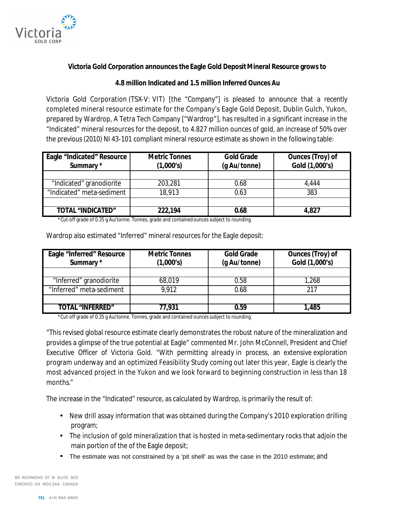

## **Victoria Gold Corporation announces the Eagle Gold DepositMineral Resource grows to**

## **4.8 million Indicated and 1.5 million Inferred Ounces Au**

Victoria Gold Corporation (TSX-V: VIT) [the "Company"] is pleased to announce that a recently completed mineral resource estimate for the Company's Eagle Gold Deposit, Dublin Gulch, Yukon, prepared by Wardrop, A Tetra Tech Company ["Wardrop"], has resulted in a significant increase in the "Indicated" mineral resources for the deposit, to 4.827 million ounces of gold, an increase of 50% over the previous (2010) NI 43-101 compliant mineral resource estimate as shown in the following table:

| <b>Eagle "Indicated" Resource</b><br>Summary * | <b>Metric Tonnes</b><br>(1,000's) | <b>Gold Grade</b><br>(g Au/tonne) | <b>Ounces (Troy) of</b><br>Gold (1,000's) |
|------------------------------------------------|-----------------------------------|-----------------------------------|-------------------------------------------|
|                                                |                                   |                                   |                                           |
| "Indicated" granodiorite                       | 203,281                           | 0.68                              | 4.444                                     |
| "Indicated" meta-sediment                      | 18,913                            | 0.63                              | 383                                       |
|                                                |                                   |                                   |                                           |
| <b>TOTAL "INDICATED"</b>                       | 222,194                           | 0.68                              | 4,827                                     |

\*Cut-off grade of 0.35 g Au/tonne. Tonnes, grade and contained ounces subject to rounding.

| <b>Eagle "Inferred" Resource</b><br>Summary * | <b>Metric Tonnes</b><br>(1,000's) | <b>Gold Grade</b><br>(g Au/tonne) | <b>Ounces (Troy) of</b><br>Gold (1,000's) |
|-----------------------------------------------|-----------------------------------|-----------------------------------|-------------------------------------------|
|                                               |                                   |                                   |                                           |
| "Inferred" granodiorite                       | 68,019                            | 0.58                              | 1,268                                     |
| "Inferred" meta-sediment                      | 9.912                             | 0.68                              | 217                                       |
|                                               |                                   |                                   |                                           |
| <b>TOTAL "INFFRRED"</b>                       | 77,931                            | 0.59                              | 1,485                                     |

Wardrop also estimated "Inferred" mineral resources for the Eagle deposit:

\*Cut-off grade of 0.35 g Au/tonne. Tonnes, grade and contained ounces subject to rounding.

"This revised global resource estimate clearly demonstrates the robust nature of the mineralization and provides a glimpse of the true potential at Eagle" commented Mr. John McConnell, President and Chief Executive Officer of Victoria Gold. "With permitting already in process, an extensive exploration program underway and an optimized Feasibility Study coming out later this year, Eagle is clearly the most advanced project in the Yukon and we look forward to beginning construction in less than 18 months."

The increase in the "Indicated" resource, as calculated by Wardrop, is primarily the result of:

- New drill assay information that was obtained during the Company's 2010 exploration drilling program;
- The inclusion of gold mineralization that is hosted in meta-sedimentary rocks that adjoin the main portion of the of the Eagle deposit;
- The estimate was not constrained by a 'pit shell' as was the case in the 2010 estimate; and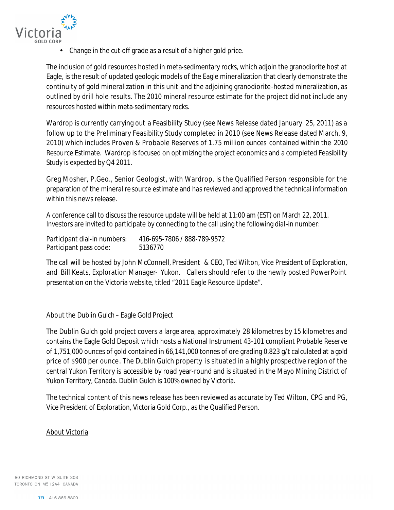

• Change in the cut-off grade as a result of a higher gold price.

The inclusion of gold resources hosted in meta-sedimentary rocks, which adjoin the granodiorite host at Eagle, is the result of updated geologic models of the Eagle mineralization that clearly demonstrate the continuity of gold mineralization in this unit and the adjoining granodiorite-hosted mineralization, as outlined by drill hole results. The 2010 mineral resource estimate for the project did not include any resources hosted within meta-sedimentary rocks.

Wardrop is currently carrying out a Feasibility Study (see News Release dated January 25, 2011) as a follow up to the Preliminary Feasibility Study completed in 2010 (see News Release dated March, 9, 2010) which includes Proven & Probable Reserves of 1.75 million ounces contained within the 2010 Resource Estimate. Wardrop is focused on optimizing the project economics and a completed Feasibility Study is expected by Q4 2011.

Greg Mosher, P.Geo., Senior Geologist, with Wardrop, is the Qualified Person responsible for the preparation of the mineral re source estimate and has reviewed and approved the technical information within this news release.

A conference call to discuss the resource update will be held at 11:00 am (EST) on March 22, 2011. Investors are invited to participate by connecting to the call using the following dial-in number:

| Participant dial-in numbers: | 416-695-7806 / 888-789-9572 |
|------------------------------|-----------------------------|
| Participant pass code:       | 5136770                     |

The call will be hosted by John McConnell, President & CEO, Ted Wilton, Vice President of Exploration, and Bill Keats, Exploration Manager- Yukon. Callers should refer to the newly posted PowerPoint presentation on the Victoria website, titled "2011 Eagle Resource Update".

## About the Dublin Gulch – Eagle Gold Project

The Dublin Gulch gold project covers a large area, approximately 28 kilometres by 15 kilometres and contains the Eagle Gold Deposit which hosts a National Instrument 43-101 compliant Probable Reserve of 1,751,000 ounces of gold contained in 66,141,000 tonnes of ore grading 0.823 g/t calculated at a gold price of \$900 per ounce. The Dublin Gulch property is situated in a highly prospective region of the central Yukon Territory is accessible by road year-round and is situated in the Mayo Mining District of Yukon Territory, Canada. Dublin Gulch is 100% owned by Victoria.

The technical content of this news release has been reviewed as accurate by Ted Wilton, CPG and PG, Vice President of Exploration, Victoria Gold Corp., as the Qualified Person.

## About Victoria